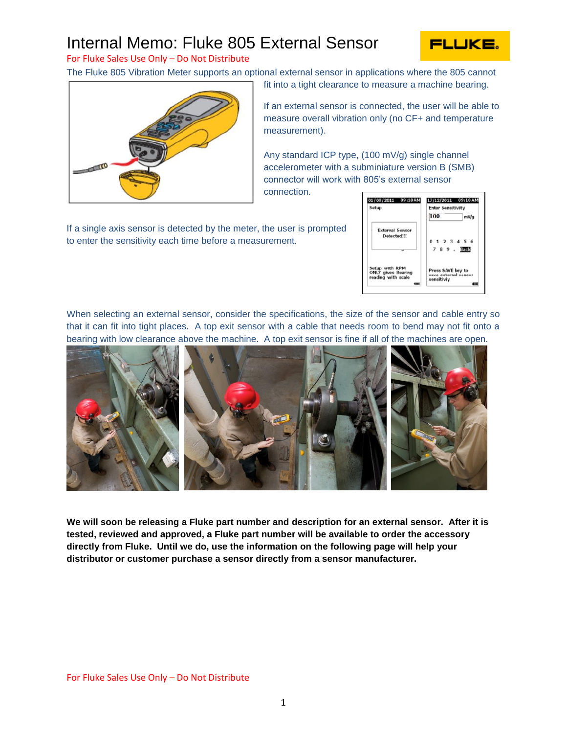## Internal Memo: Fluke 805 External Sensor



For Fluke Sales Use Only – Do Not Distribute

The Fluke 805 Vibration Meter supports an optional external sensor in applications where the 805 cannot



If an external sensor is connected, the user will be able to

fit into a tight clearance to measure a machine bearing.

measure overall vibration only (no CF+ and temperature measurement).

Any standard ICP type, (100 mV/g) single channel accelerometer with a subminiature version B (SMB) connector will work with 805's external sensor

connection.

If a single axis sensor is detected by the meter, the user is prompted to enter the sensitivity each time before a measurement.



When selecting an external sensor, consider the specifications, the size of the sensor and cable entry so that it can fit into tight places. A top exit sensor with a cable that needs room to bend may not fit onto a bearing with low clearance above the machine. A top exit sensor is fine if all of the machines are open.



**We will soon be releasing a Fluke part number and description for an external sensor. After it is tested, reviewed and approved, a Fluke part number will be available to order the accessory directly from Fluke. Until we do, use the information on the following page will help your distributor or customer purchase a sensor directly from a sensor manufacturer.**